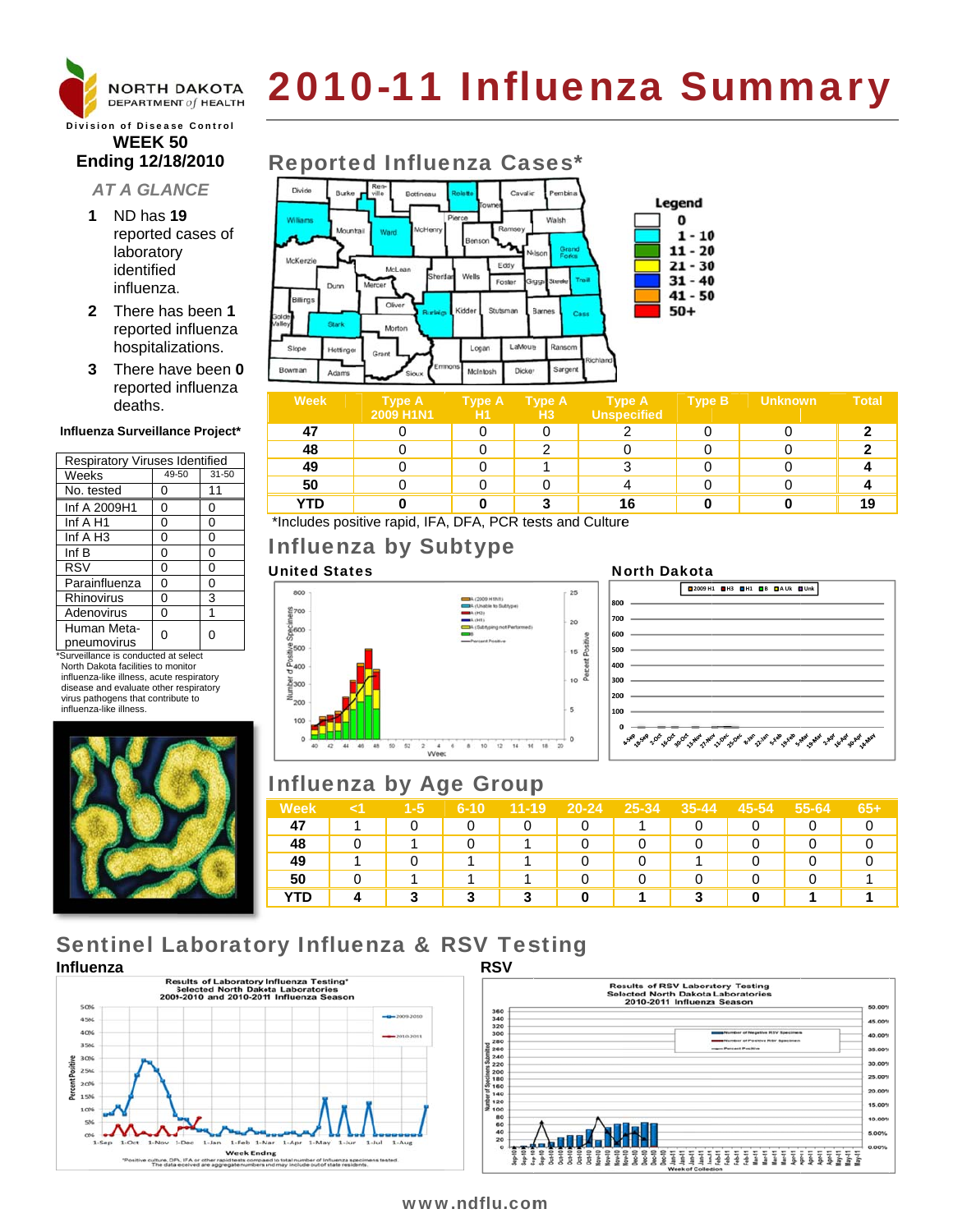

# 2010-11 Influenza Summary

## **Division of Disease Control WEEK 50** Ending 12/18/2010

# **AT A GLANCE**

- 1 ND has 19 reported cases of laboratory identified influenza.
- 2 There has been 1 reported influenza hospitalizations.
- 3 There have been 0 reported influenza deaths.

#### Influenza Surveillance Project\*

| <b>Respiratory Viruses Identified</b> |       |       |  |  |  |  |  |
|---------------------------------------|-------|-------|--|--|--|--|--|
| Weeks                                 | 49-50 | 31-50 |  |  |  |  |  |
| No. tested                            | 0     | 11    |  |  |  |  |  |
| Inf A 2009H1                          | 0     | 0     |  |  |  |  |  |
| Inf A H1                              | 0     | 0     |  |  |  |  |  |
| Inf A H <sub>3</sub>                  | 0     | 0     |  |  |  |  |  |
| Inf B                                 | 0     | 0     |  |  |  |  |  |
| <b>RSV</b>                            | 0     | 0     |  |  |  |  |  |
| Parainfluenza                         | 0     | 0     |  |  |  |  |  |
| Rhinovirus                            | 0     | 3     |  |  |  |  |  |
| Adenovirus                            | 0     |       |  |  |  |  |  |
| Human Meta-<br>pneumovirus            | U     | ი     |  |  |  |  |  |

\*Surveillance is conducted at select North Dakota facilities to monitor influenza-like illness, acute respiratory disease and evaluate other respiratory virus pathogens that contribute to influenza-like illness.



# **Reported Influenza Cases\***



| <b>Week</b>                                                                                              | <b>Type A</b><br>2009 H1N1 | <b>Type A</b><br>۱H1 | <b>Type A</b><br>H <sub>3</sub> | <b>Type A</b><br>Unspecified | <b>Type B</b> | <b>Unknown</b> | <b>Total</b> |
|----------------------------------------------------------------------------------------------------------|----------------------------|----------------------|---------------------------------|------------------------------|---------------|----------------|--------------|
| 47                                                                                                       |                            |                      |                                 |                              |               |                |              |
| 48                                                                                                       |                            |                      |                                 |                              |               |                |              |
| 49                                                                                                       |                            |                      |                                 |                              |               |                |              |
| 50                                                                                                       |                            |                      |                                 |                              |               |                |              |
| <b>YTD</b>                                                                                               |                            |                      |                                 | 16                           |               |                | 19           |
| $\cdots$<br>$\cdot$ $\cdot$ $\cdot$ $\cdot$ $\cdot$<br><b>A B</b><br>$\sim$ $\sim$<br>$P1 P2 P3 P4$<br>. |                            |                      |                                 |                              |               |                |              |

\*Includes positive rapid, IFA, DFA, PCR tests and Culture

# **Influenza by Subtype**

# **United States**



## **North Dakota**



# **Influenza by Age Group**

| Week | $1 - 5$ | $6 - 10$ | $11 - 19$ | 20-24 | 25-34 | $35 - 44$ | 45-54 | 55-64 | 65+ |
|------|---------|----------|-----------|-------|-------|-----------|-------|-------|-----|
| 47   |         |          |           |       |       |           |       |       |     |
| 48   |         |          |           |       |       |           |       |       |     |
| 49   |         |          |           |       |       |           |       |       |     |
| 50   |         |          |           |       |       |           |       |       |     |
| YTD  | 2       | 3        | 3         |       |       | 2         |       |       |     |

# **Sentinel Laboratory Influenza & RSV Testing**





# www.ndflu.com